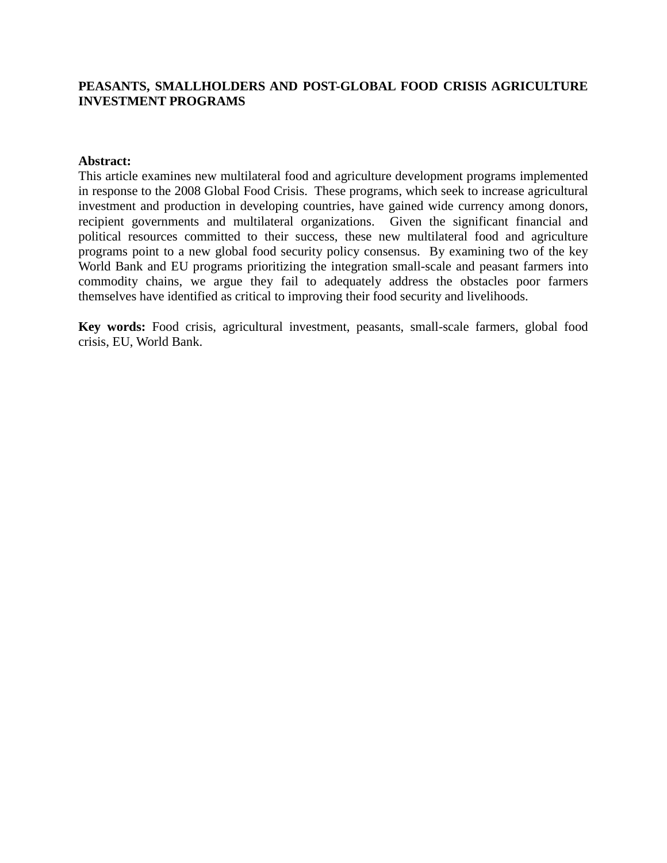## **PEASANTS, SMALLHOLDERS AND POST-GLOBAL FOOD CRISIS AGRICULTURE INVESTMENT PROGRAMS**

#### **Abstract:**

This article examines new multilateral food and agriculture development programs implemented in response to the 2008 Global Food Crisis. These programs, which seek to increase agricultural investment and production in developing countries, have gained wide currency among donors, recipient governments and multilateral organizations. Given the significant financial and political resources committed to their success, these new multilateral food and agriculture programs point to a new global food security policy consensus. By examining two of the key World Bank and EU programs prioritizing the integration small-scale and peasant farmers into commodity chains, we argue they fail to adequately address the obstacles poor farmers themselves have identified as critical to improving their food security and livelihoods.

**Key words:** Food crisis, agricultural investment, peasants, small-scale farmers, global food crisis, EU, World Bank.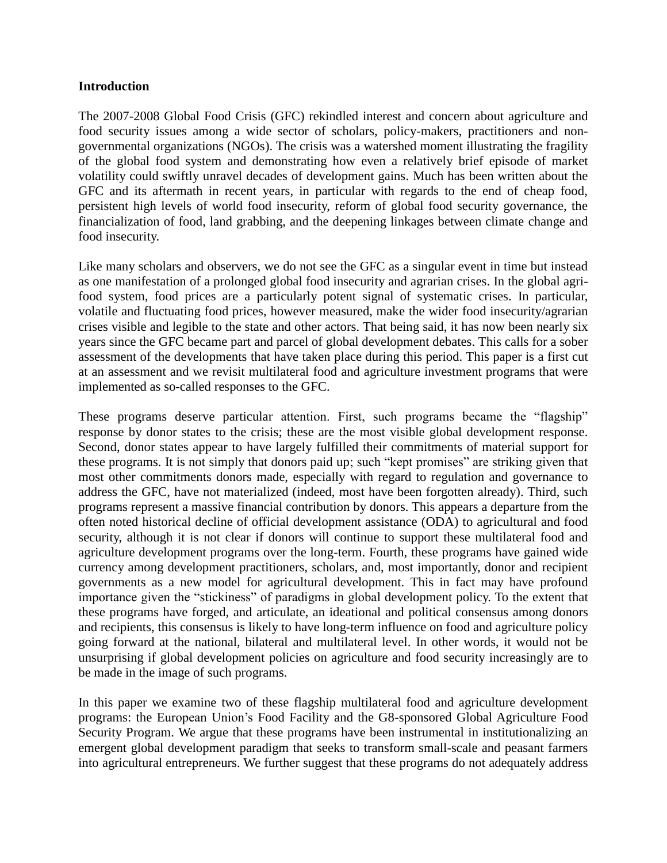#### **Introduction**

The 2007-2008 Global Food Crisis (GFC) rekindled interest and concern about agriculture and food security issues among a wide sector of scholars, policy-makers, practitioners and nongovernmental organizations (NGOs). The crisis was a watershed moment illustrating the fragility of the global food system and demonstrating how even a relatively brief episode of market volatility could swiftly unravel decades of development gains. Much has been written about the GFC and its aftermath in recent years, in particular with regards to the end of cheap food, persistent high levels of world food insecurity, reform of global food security governance, the financialization of food, land grabbing, and the deepening linkages between climate change and food insecurity.

Like many scholars and observers, we do not see the GFC as a singular event in time but instead as one manifestation of a prolonged global food insecurity and agrarian crises. In the global agrifood system, food prices are a particularly potent signal of systematic crises. In particular, volatile and fluctuating food prices, however measured, make the wider food insecurity/agrarian crises visible and legible to the state and other actors. That being said, it has now been nearly six years since the GFC became part and parcel of global development debates. This calls for a sober assessment of the developments that have taken place during this period. This paper is a first cut at an assessment and we revisit multilateral food and agriculture investment programs that were implemented as so-called responses to the GFC.

These programs deserve particular attention. First, such programs became the "flagship" response by donor states to the crisis; these are the most visible global development response. Second, donor states appear to have largely fulfilled their commitments of material support for these programs. It is not simply that donors paid up; such "kept promises" are striking given that most other commitments donors made, especially with regard to regulation and governance to address the GFC, have not materialized (indeed, most have been forgotten already). Third, such programs represent a massive financial contribution by donors. This appears a departure from the often noted historical decline of official development assistance (ODA) to agricultural and food security, although it is not clear if donors will continue to support these multilateral food and agriculture development programs over the long-term. Fourth, these programs have gained wide currency among development practitioners, scholars, and, most importantly, donor and recipient governments as a new model for agricultural development. This in fact may have profound importance given the "stickiness" of paradigms in global development policy. To the extent that these programs have forged, and articulate, an ideational and political consensus among donors and recipients, this consensus is likely to have long-term influence on food and agriculture policy going forward at the national, bilateral and multilateral level. In other words, it would not be unsurprising if global development policies on agriculture and food security increasingly are to be made in the image of such programs.

In this paper we examine two of these flagship multilateral food and agriculture development programs: the European Union's Food Facility and the G8-sponsored Global Agriculture Food Security Program. We argue that these programs have been instrumental in institutionalizing an emergent global development paradigm that seeks to transform small-scale and peasant farmers into agricultural entrepreneurs. We further suggest that these programs do not adequately address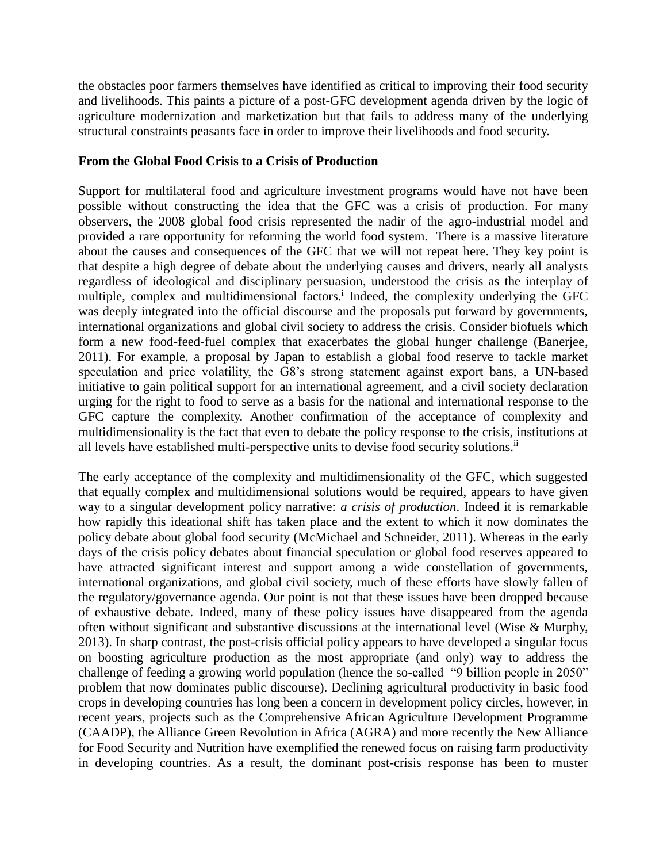the obstacles poor farmers themselves have identified as critical to improving their food security and livelihoods. This paints a picture of a post-GFC development agenda driven by the logic of agriculture modernization and marketization but that fails to address many of the underlying structural constraints peasants face in order to improve their livelihoods and food security.

## **From the Global Food Crisis to a Crisis of Production**

Support for multilateral food and agriculture investment programs would have not have been possible without constructing the idea that the GFC was a crisis of production. For many observers, the 2008 global food crisis represented the nadir of the agro-industrial model and provided a rare opportunity for reforming the world food system. There is a massive literature about the causes and consequences of the GFC that we will not repeat here. They key point is that despite a high degree of debate about the underlying causes and drivers, nearly all analysts regardless of ideological and disciplinary persuasion, understood the crisis as the interplay of multiple, complex and multidimensional factors.<sup>i</sup> Indeed, the complexity underlying the GFC was deeply integrated into the official discourse and the proposals put forward by governments, international organizations and global civil society to address the crisis. Consider biofuels which form a new food-feed-fuel complex that exacerbates the global hunger challenge (Banerjee, 2011). For example, a proposal by Japan to establish a global food reserve to tackle market speculation and price volatility, the G8's strong statement against export bans, a UN-based initiative to gain political support for an international agreement, and a civil society declaration urging for the right to food to serve as a basis for the national and international response to the GFC capture the complexity. Another confirmation of the acceptance of complexity and multidimensionality is the fact that even to debate the policy response to the crisis, institutions at all levels have established multi-perspective units to devise food security solutions.<sup>ii</sup>

The early acceptance of the complexity and multidimensionality of the GFC, which suggested that equally complex and multidimensional solutions would be required, appears to have given way to a singular development policy narrative: *a crisis of production*. Indeed it is remarkable how rapidly this ideational shift has taken place and the extent to which it now dominates the policy debate about global food security (McMichael and Schneider, 2011). Whereas in the early days of the crisis policy debates about financial speculation or global food reserves appeared to have attracted significant interest and support among a wide constellation of governments, international organizations, and global civil society, much of these efforts have slowly fallen of the regulatory/governance agenda. Our point is not that these issues have been dropped because of exhaustive debate. Indeed, many of these policy issues have disappeared from the agenda often without significant and substantive discussions at the international level (Wise & Murphy, 2013). In sharp contrast, the post-crisis official policy appears to have developed a singular focus on boosting agriculture production as the most appropriate (and only) way to address the challenge of feeding a growing world population (hence the so-called "9 billion people in 2050" problem that now dominates public discourse). Declining agricultural productivity in basic food crops in developing countries has long been a concern in development policy circles, however, in recent years, projects such as the Comprehensive African Agriculture Development Programme (CAADP), the Alliance Green Revolution in Africa (AGRA) and more recently the New Alliance for Food Security and Nutrition have exemplified the renewed focus on raising farm productivity in developing countries. As a result, the dominant post-crisis response has been to muster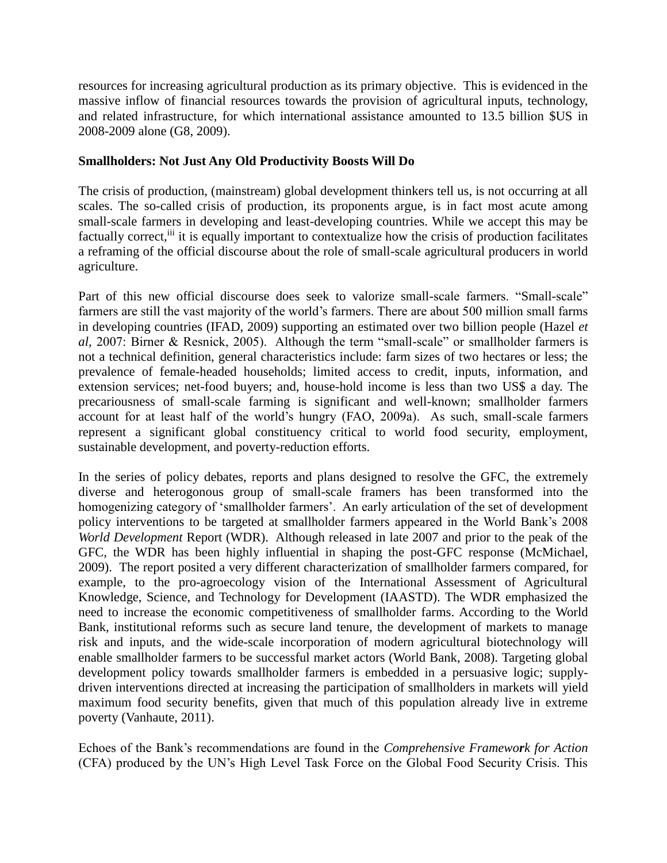resources for increasing agricultural production as its primary objective. This is evidenced in the massive inflow of financial resources towards the provision of agricultural inputs, technology, and related infrastructure, for which international assistance amounted to 13.5 billion \$US in 2008-2009 alone (G8, 2009).

# **Smallholders: Not Just Any Old Productivity Boosts Will Do**

The crisis of production, (mainstream) global development thinkers tell us, is not occurring at all scales. The so-called crisis of production, its proponents argue, is in fact most acute among small-scale farmers in developing and least-developing countries. While we accept this may be factually correct,<sup>iii</sup> it is equally important to contextualize how the crisis of production facilitates a reframing of the official discourse about the role of small-scale agricultural producers in world agriculture.

Part of this new official discourse does seek to valorize small-scale farmers. "Small-scale" farmers are still the vast majority of the world's farmers. There are about 500 million small farms in developing countries (IFAD, 2009) supporting an estimated over two billion people (Hazel *et al,* 2007: Birner & Resnick, 2005). Although the term "small-scale" or smallholder farmers is not a technical definition, general characteristics include: farm sizes of two hectares or less; the prevalence of female-headed households; limited access to credit, inputs, information, and extension services; net-food buyers; and, house-hold income is less than two US\$ a day. The precariousness of small-scale farming is significant and well-known; smallholder farmers account for at least half of the world's hungry (FAO, 2009a). As such, small-scale farmers represent a significant global constituency critical to world food security, employment, sustainable development, and poverty-reduction efforts.

In the series of policy debates, reports and plans designed to resolve the GFC, the extremely diverse and heterogonous group of small-scale framers has been transformed into the homogenizing category of 'smallholder farmers'. An early articulation of the set of development policy interventions to be targeted at smallholder farmers appeared in the World Bank's 2008 *World Development* Report (WDR). Although released in late 2007 and prior to the peak of the GFC, the WDR has been highly influential in shaping the post-GFC response (McMichael, 2009). The report posited a very different characterization of smallholder farmers compared, for example, to the pro-agroecology vision of the International Assessment of Agricultural Knowledge, Science, and Technology for Development (IAASTD). The WDR emphasized the need to increase the economic competitiveness of smallholder farms. According to the World Bank, institutional reforms such as secure land tenure, the development of markets to manage risk and inputs, and the wide-scale incorporation of modern agricultural biotechnology will enable smallholder farmers to be successful market actors (World Bank, 2008). Targeting global development policy towards smallholder farmers is embedded in a persuasive logic; supplydriven interventions directed at increasing the participation of smallholders in markets will yield maximum food security benefits, given that much of this population already live in extreme poverty (Vanhaute, 2011).

Echoes of the Bank's recommendations are found in the *Comprehensive Framework for Action* (CFA) produced by the UN's High Level Task Force on the Global Food Security Crisis. This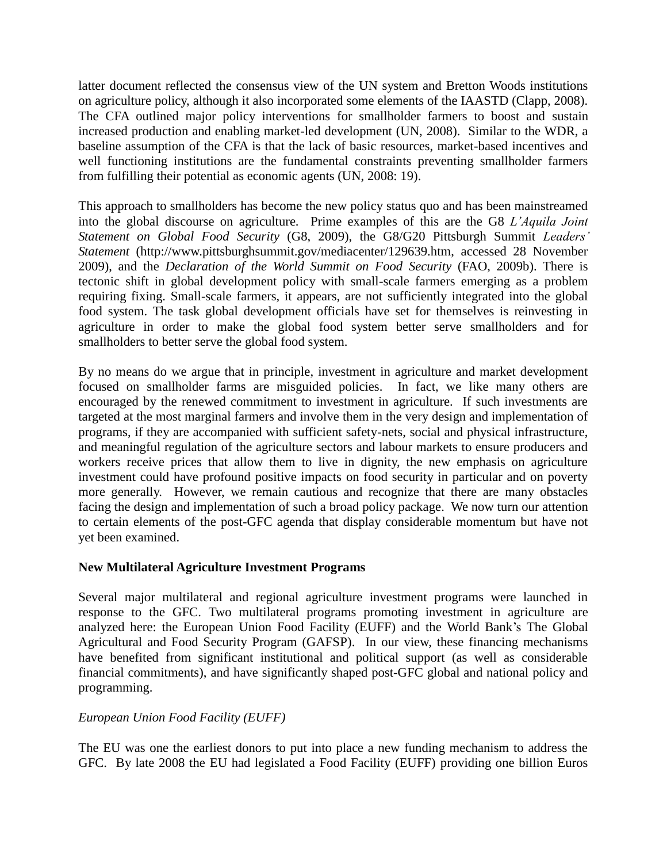latter document reflected the consensus view of the UN system and Bretton Woods institutions on agriculture policy, although it also incorporated some elements of the IAASTD (Clapp, 2008). The CFA outlined major policy interventions for smallholder farmers to boost and sustain increased production and enabling market-led development (UN, 2008). Similar to the WDR, a baseline assumption of the CFA is that the lack of basic resources, market-based incentives and well functioning institutions are the fundamental constraints preventing smallholder farmers from fulfilling their potential as economic agents (UN, 2008: 19).

This approach to smallholders has become the new policy status quo and has been mainstreamed into the global discourse on agriculture. Prime examples of this are the G8 *L'Aquila Joint Statement on Global Food Security* (G8, 2009), the G8/G20 Pittsburgh Summit *Leaders' Statement* (http://www.pittsburghsummit.gov/mediacenter/129639.htm, accessed 28 November 2009), and the *Declaration of the World Summit on Food Security* (FAO, 2009b). There is tectonic shift in global development policy with small-scale farmers emerging as a problem requiring fixing. Small-scale farmers, it appears, are not sufficiently integrated into the global food system. The task global development officials have set for themselves is reinvesting in agriculture in order to make the global food system better serve smallholders and for smallholders to better serve the global food system.

By no means do we argue that in principle, investment in agriculture and market development focused on smallholder farms are misguided policies. In fact, we like many others are encouraged by the renewed commitment to investment in agriculture. If such investments are targeted at the most marginal farmers and involve them in the very design and implementation of programs, if they are accompanied with sufficient safety-nets, social and physical infrastructure, and meaningful regulation of the agriculture sectors and labour markets to ensure producers and workers receive prices that allow them to live in dignity, the new emphasis on agriculture investment could have profound positive impacts on food security in particular and on poverty more generally. However, we remain cautious and recognize that there are many obstacles facing the design and implementation of such a broad policy package. We now turn our attention to certain elements of the post-GFC agenda that display considerable momentum but have not yet been examined.

# **New Multilateral Agriculture Investment Programs**

Several major multilateral and regional agriculture investment programs were launched in response to the GFC. Two multilateral programs promoting investment in agriculture are analyzed here: the European Union Food Facility (EUFF) and the World Bank's The Global Agricultural and Food Security Program (GAFSP). In our view, these financing mechanisms have benefited from significant institutional and political support (as well as considerable financial commitments), and have significantly shaped post-GFC global and national policy and programming.

### *European Union Food Facility (EUFF)*

The EU was one the earliest donors to put into place a new funding mechanism to address the GFC. By late 2008 the EU had legislated a Food Facility (EUFF) providing one billion Euros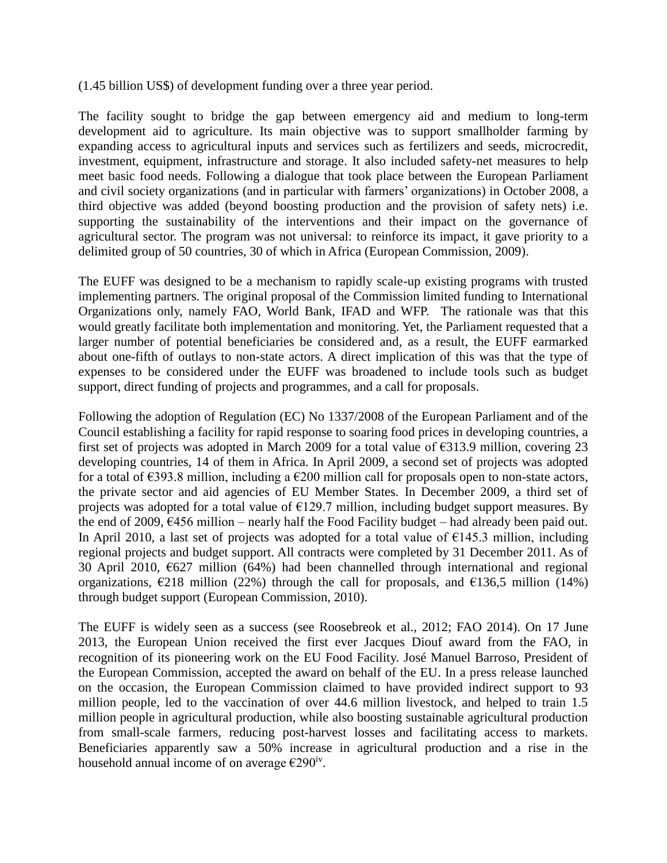(1.45 billion US\$) of development funding over a three year period.

The facility sought to bridge the gap between emergency aid and medium to long-term development aid to agriculture. Its main objective was to support smallholder farming by expanding access to agricultural inputs and services such as fertilizers and seeds, microcredit, investment, equipment, infrastructure and storage. It also included safety-net measures to help meet basic food needs. Following a dialogue that took place between the European Parliament and civil society organizations (and in particular with farmers' organizations) in October 2008, a third objective was added (beyond boosting production and the provision of safety nets) i.e. supporting the sustainability of the interventions and their impact on the governance of agricultural sector. The program was not universal: to reinforce its impact, it gave priority to a delimited group of 50 countries, 30 of which in Africa (European Commission, 2009).

The EUFF was designed to be a mechanism to rapidly scale-up existing programs with trusted implementing partners. The original proposal of the Commission limited funding to International Organizations only, namely FAO, World Bank, IFAD and WFP. The rationale was that this would greatly facilitate both implementation and monitoring. Yet, the Parliament requested that a larger number of potential beneficiaries be considered and, as a result, the EUFF earmarked about one-fifth of outlays to non-state actors. A direct implication of this was that the type of expenses to be considered under the EUFF was broadened to include tools such as budget support, direct funding of projects and programmes, and a call for proposals.

Following the adoption of Regulation (EC) No 1337/2008 of the European Parliament and of the Council establishing a facility for rapid response to soaring food prices in developing countries, a first set of projects was adopted in March 2009 for a total value of  $\epsilon$ 313.9 million, covering 23 developing countries, 14 of them in Africa. In April 2009, a second set of projects was adopted for a total of  $\epsilon$ 393.8 million, including a  $\epsilon$ 200 million call for proposals open to non-state actors, the private sector and aid agencies of EU Member States. In December 2009, a third set of projects was adopted for a total value of  $E129.7$  million, including budget support measures. By the end of 2009,  $\epsilon$ 456 million – nearly half the Food Facility budget – had already been paid out. In April 2010, a last set of projects was adopted for a total value of  $\epsilon$ 145.3 million, including regional projects and budget support. All contracts were completed by 31 December 2011. As of 30 April 2010, €627 million (64%) had been channelled through international and regional organizations,  $\epsilon$ 218 million (22%) through the call for proposals, and  $\epsilon$ 136,5 million (14%) through budget support (European Commission, 2010).

The EUFF is widely seen as a success (see Roosebreok et al., 2012; FAO 2014). On 17 June 2013, the European Union received the first ever Jacques Diouf award from the FAO, in recognition of its pioneering work on the EU Food Facility. José Manuel Barroso, President of the European Commission, accepted the award on behalf of the EU. In a press release launched on the occasion, the European Commission claimed to have provided indirect support to 93 million people, led to the vaccination of over 44.6 million livestock, and helped to train 1.5 million people in agricultural production, while also boosting sustainable agricultural production from small-scale farmers, reducing post-harvest losses and facilitating access to markets. Beneficiaries apparently saw a 50% increase in agricultural production and a rise in the household annual income of on average  $\epsilon$ 290<sup>iv</sup>.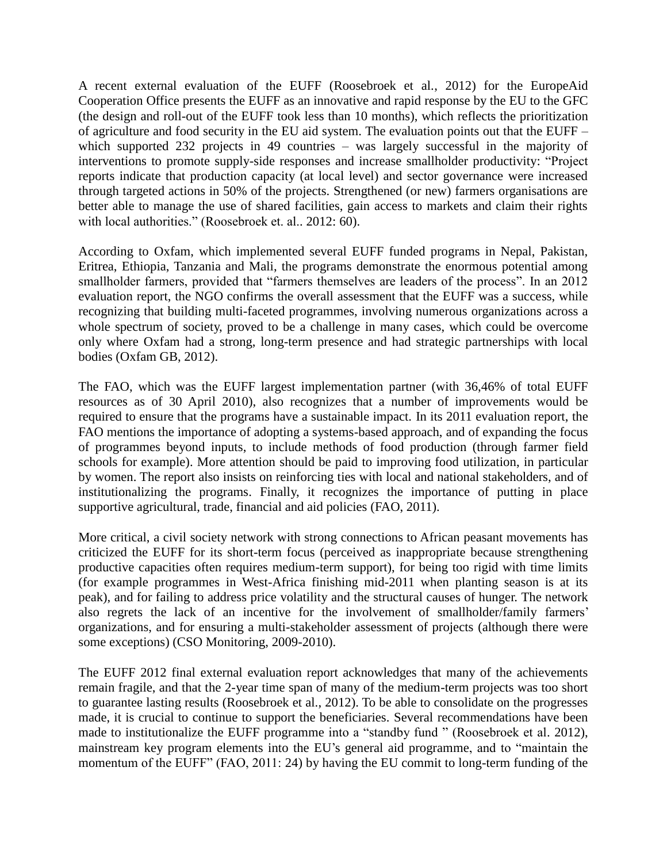A recent external evaluation of the EUFF (Roosebroek et al., 2012) for the EuropeAid Cooperation Office presents the EUFF as an innovative and rapid response by the EU to the GFC (the design and roll-out of the EUFF took less than 10 months), which reflects the prioritization of agriculture and food security in the EU aid system. The evaluation points out that the EUFF – which supported 232 projects in 49 countries – was largely successful in the majority of interventions to promote supply-side responses and increase smallholder productivity: "Project reports indicate that production capacity (at local level) and sector governance were increased through targeted actions in 50% of the projects. Strengthened (or new) farmers organisations are better able to manage the use of shared facilities, gain access to markets and claim their rights with local authorities." (Roosebroek et. al.. 2012: 60).

According to Oxfam, which implemented several EUFF funded programs in Nepal, Pakistan, Eritrea, Ethiopia, Tanzania and Mali, the programs demonstrate the enormous potential among smallholder farmers, provided that "farmers themselves are leaders of the process". In an 2012 evaluation report, the NGO confirms the overall assessment that the EUFF was a success, while recognizing that building multi-faceted programmes, involving numerous organizations across a whole spectrum of society, proved to be a challenge in many cases, which could be overcome only where Oxfam had a strong, long-term presence and had strategic partnerships with local bodies (Oxfam GB, 2012).

The FAO, which was the EUFF largest implementation partner (with 36,46% of total EUFF resources as of 30 April 2010), also recognizes that a number of improvements would be required to ensure that the programs have a sustainable impact. In its 2011 evaluation report, the FAO mentions the importance of adopting a systems-based approach, and of expanding the focus of programmes beyond inputs, to include methods of food production (through farmer field schools for example). More attention should be paid to improving food utilization, in particular by women. The report also insists on reinforcing ties with local and national stakeholders, and of institutionalizing the programs. Finally, it recognizes the importance of putting in place supportive agricultural, trade, financial and aid policies (FAO, 2011).

More critical, a civil society network with strong connections to African peasant movements has criticized the EUFF for its short-term focus (perceived as inappropriate because strengthening productive capacities often requires medium-term support), for being too rigid with time limits (for example programmes in West-Africa finishing mid-2011 when planting season is at its peak), and for failing to address price volatility and the structural causes of hunger. The network also regrets the lack of an incentive for the involvement of smallholder/family farmers' organizations, and for ensuring a multi-stakeholder assessment of projects (although there were some exceptions) (CSO Monitoring, 2009-2010).

The EUFF 2012 final external evaluation report acknowledges that many of the achievements remain fragile, and that the 2-year time span of many of the medium-term projects was too short to guarantee lasting results (Roosebroek et al., 2012). To be able to consolidate on the progresses made, it is crucial to continue to support the beneficiaries. Several recommendations have been made to institutionalize the EUFF programme into a "standby fund " (Roosebroek et al. 2012), mainstream key program elements into the EU's general aid programme, and to "maintain the momentum of the EUFF" (FAO, 2011: 24) by having the EU commit to long-term funding of the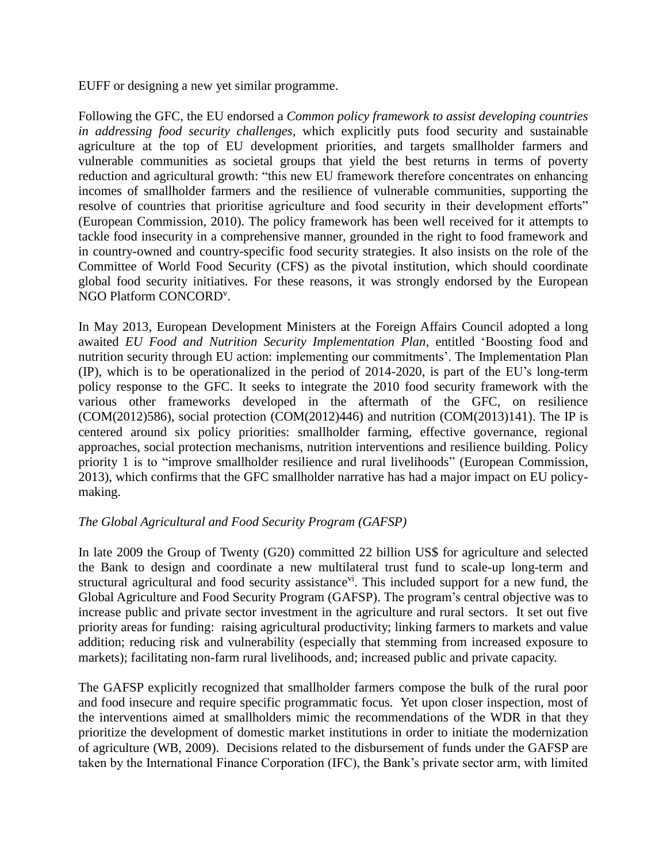EUFF or designing a new yet similar programme.

Following the GFC, the EU endorsed a *Common policy framework to assist developing countries in addressing food security challenges,* which explicitly puts food security and sustainable agriculture at the top of EU development priorities, and targets smallholder farmers and vulnerable communities as societal groups that yield the best returns in terms of poverty reduction and agricultural growth: "this new EU framework therefore concentrates on enhancing incomes of smallholder farmers and the resilience of vulnerable communities, supporting the resolve of countries that prioritise agriculture and food security in their development efforts" (European Commission, 2010). The policy framework has been well received for it attempts to tackle food insecurity in a comprehensive manner, grounded in the right to food framework and in country-owned and country-specific food security strategies. It also insists on the role of the Committee of World Food Security (CFS) as the pivotal institution, which should coordinate global food security initiatives. For these reasons, it was strongly endorsed by the European NGO Platform CONCORD<sup>v</sup>.

In May 2013, European Development Ministers at the Foreign Affairs Council adopted a long awaited *EU Food and Nutrition Security Implementation Plan*, entitled 'Boosting food and nutrition security through EU action: implementing our commitments'. The Implementation Plan (IP), which is to be operationalized in the period of 2014-2020, is part of the EU's long-term policy response to the GFC. It seeks to integrate the 2010 food security framework with the various other frameworks developed in the aftermath of the GFC, on resilience  $(COM(2012)586)$ , social protection  $(COM(2012)446)$  and nutrition  $(COM(2013)141)$ . The IP is centered around six policy priorities: smallholder farming, effective governance, regional approaches, social protection mechanisms, nutrition interventions and resilience building. Policy priority 1 is to "improve smallholder resilience and rural livelihoods" (European Commission, 2013), which confirms that the GFC smallholder narrative has had a major impact on EU policymaking.

### *The Global Agricultural and Food Security Program (GAFSP)*

In late 2009 the Group of Twenty (G20) committed 22 billion US\$ for agriculture and selected the Bank to design and coordinate a new multilateral trust fund to scale-up long-term and structural agricultural and food security assistance<sup>vi</sup>. This included support for a new fund, the Global Agriculture and Food Security Program (GAFSP). The program's central objective was to increase public and private sector investment in the agriculture and rural sectors. It set out five priority areas for funding: raising agricultural productivity; linking farmers to markets and value addition; reducing risk and vulnerability (especially that stemming from increased exposure to markets); facilitating non-farm rural livelihoods, and; increased public and private capacity.

The GAFSP explicitly recognized that smallholder farmers compose the bulk of the rural poor and food insecure and require specific programmatic focus. Yet upon closer inspection, most of the interventions aimed at smallholders mimic the recommendations of the WDR in that they prioritize the development of domestic market institutions in order to initiate the modernization of agriculture (WB, 2009). Decisions related to the disbursement of funds under the GAFSP are taken by the International Finance Corporation (IFC), the Bank's private sector arm, with limited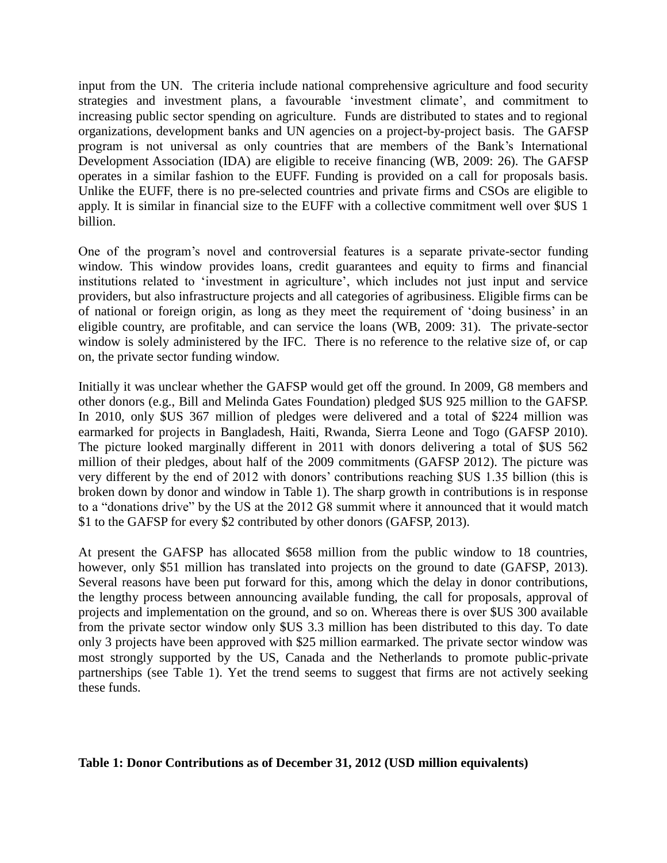input from the UN. The criteria include national comprehensive agriculture and food security strategies and investment plans, a favourable 'investment climate', and commitment to increasing public sector spending on agriculture. Funds are distributed to states and to regional organizations, development banks and UN agencies on a project-by-project basis. The GAFSP program is not universal as only countries that are members of the Bank's International Development Association (IDA) are eligible to receive financing (WB, 2009: 26). The GAFSP operates in a similar fashion to the EUFF. Funding is provided on a call for proposals basis. Unlike the EUFF, there is no pre-selected countries and private firms and CSOs are eligible to apply. It is similar in financial size to the EUFF with a collective commitment well over \$US 1 billion.

One of the program's novel and controversial features is a separate private-sector funding window. This window provides loans, credit guarantees and equity to firms and financial institutions related to 'investment in agriculture', which includes not just input and service providers, but also infrastructure projects and all categories of agribusiness. Eligible firms can be of national or foreign origin, as long as they meet the requirement of 'doing business' in an eligible country, are profitable, and can service the loans (WB, 2009: 31). The private-sector window is solely administered by the IFC. There is no reference to the relative size of, or cap on, the private sector funding window.

Initially it was unclear whether the GAFSP would get off the ground. In 2009, G8 members and other donors (e.g., Bill and Melinda Gates Foundation) pledged \$US 925 million to the GAFSP. In 2010, only \$US 367 million of pledges were delivered and a total of \$224 million was earmarked for projects in Bangladesh, Haiti, Rwanda, Sierra Leone and Togo (GAFSP 2010). The picture looked marginally different in 2011 with donors delivering a total of \$US 562 million of their pledges, about half of the 2009 commitments (GAFSP 2012). The picture was very different by the end of 2012 with donors' contributions reaching \$US 1.35 billion (this is broken down by donor and window in Table 1). The sharp growth in contributions is in response to a "donations drive" by the US at the 2012 G8 summit where it announced that it would match \$1 to the GAFSP for every \$2 contributed by other donors (GAFSP, 2013).

At present the GAFSP has allocated \$658 million from the public window to 18 countries, however, only \$51 million has translated into projects on the ground to date (GAFSP, 2013). Several reasons have been put forward for this, among which the delay in donor contributions, the lengthy process between announcing available funding, the call for proposals, approval of projects and implementation on the ground, and so on. Whereas there is over \$US 300 available from the private sector window only \$US 3.3 million has been distributed to this day. To date only 3 projects have been approved with \$25 million earmarked. The private sector window was most strongly supported by the US, Canada and the Netherlands to promote public-private partnerships (see Table 1). Yet the trend seems to suggest that firms are not actively seeking these funds.

**Table 1: Donor Contributions as of December 31, 2012 (USD million equivalents)**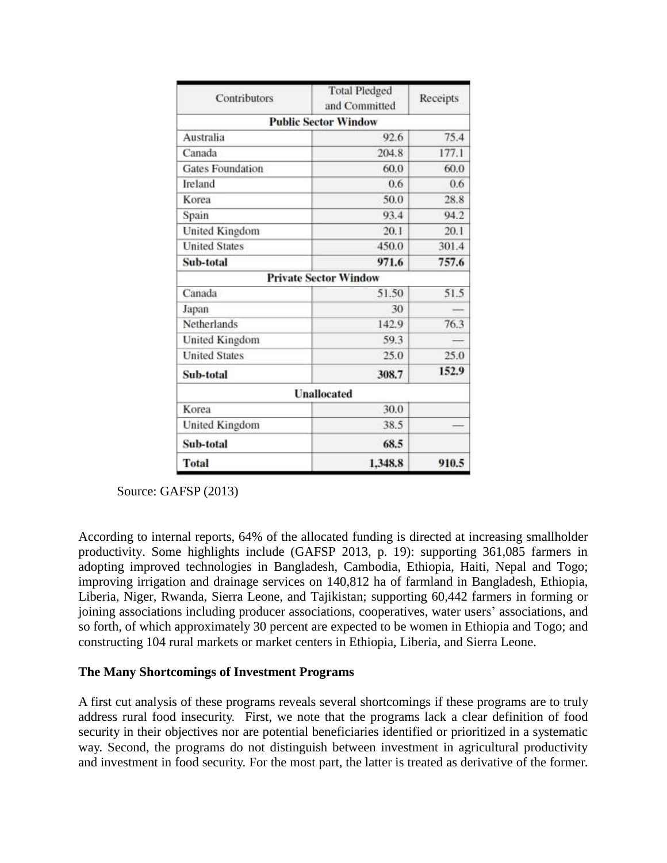| Contributors            | <b>Total Pledged</b><br>and Committed | Receipts |
|-------------------------|---------------------------------------|----------|
|                         | <b>Public Sector Window</b>           |          |
| Australia               | 92.6                                  | 75.4     |
| Canada                  | 204.8                                 | 177.1    |
| <b>Gates Foundation</b> | 60.0                                  | 60.0     |
| Ireland                 | 0.6                                   | 0.6      |
| Korea                   | 50.0                                  | 28.8     |
| Spain                   | 93.4                                  | 94.2     |
| United Kingdom          | 20.1                                  | 20.1     |
| <b>United States</b>    | 450.0                                 | 301.4    |
| Sub-total               | 971.6                                 | 757.6    |
|                         | <b>Private Sector Window</b>          |          |
| Canada                  | 51.50                                 | 51.5     |
| Japan                   | 30                                    |          |
| Netherlands             | 142.9                                 | 76.3     |
| United Kingdom          | 59.3                                  |          |
| <b>United States</b>    | 25.0                                  | 25.0     |
| Sub-total               | 308.7                                 | 152.9    |
|                         | <b>Unallocated</b>                    |          |
| Korea                   | 30.0                                  |          |
| United Kingdom          | 38.5                                  |          |
| Sub-total               | 68.5                                  |          |
| <b>Total</b>            | 1.348.8                               | 910.5    |

Source: GAFSP (2013)

According to internal reports, 64% of the allocated funding is directed at increasing smallholder productivity. Some highlights include (GAFSP 2013, p. 19): supporting 361,085 farmers in adopting improved technologies in Bangladesh, Cambodia, Ethiopia, Haiti, Nepal and Togo; improving irrigation and drainage services on 140,812 ha of farmland in Bangladesh, Ethiopia, Liberia, Niger, Rwanda, Sierra Leone, and Tajikistan; supporting 60,442 farmers in forming or joining associations including producer associations, cooperatives, water users' associations, and so forth, of which approximately 30 percent are expected to be women in Ethiopia and Togo; and constructing 104 rural markets or market centers in Ethiopia, Liberia, and Sierra Leone.

### **The Many Shortcomings of Investment Programs**

A first cut analysis of these programs reveals several shortcomings if these programs are to truly address rural food insecurity. First, we note that the programs lack a clear definition of food security in their objectives nor are potential beneficiaries identified or prioritized in a systematic way. Second, the programs do not distinguish between investment in agricultural productivity and investment in food security. For the most part, the latter is treated as derivative of the former.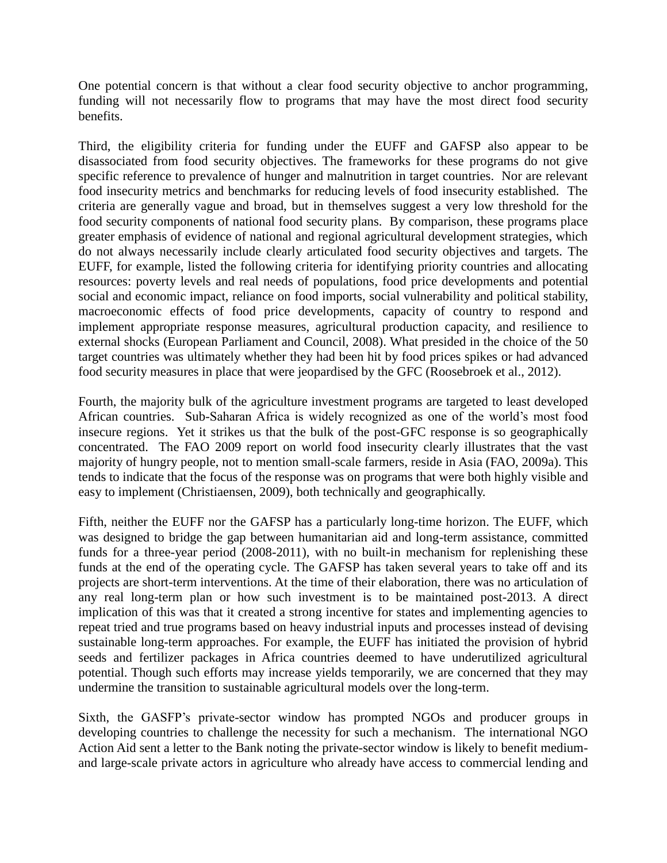One potential concern is that without a clear food security objective to anchor programming, funding will not necessarily flow to programs that may have the most direct food security benefits.

Third, the eligibility criteria for funding under the EUFF and GAFSP also appear to be disassociated from food security objectives. The frameworks for these programs do not give specific reference to prevalence of hunger and malnutrition in target countries. Nor are relevant food insecurity metrics and benchmarks for reducing levels of food insecurity established. The criteria are generally vague and broad, but in themselves suggest a very low threshold for the food security components of national food security plans. By comparison, these programs place greater emphasis of evidence of national and regional agricultural development strategies, which do not always necessarily include clearly articulated food security objectives and targets. The EUFF, for example, listed the following criteria for identifying priority countries and allocating resources: poverty levels and real needs of populations, food price developments and potential social and economic impact, reliance on food imports, social vulnerability and political stability, macroeconomic effects of food price developments, capacity of country to respond and implement appropriate response measures, agricultural production capacity, and resilience to external shocks (European Parliament and Council, 2008). What presided in the choice of the 50 target countries was ultimately whether they had been hit by food prices spikes or had advanced food security measures in place that were jeopardised by the GFC (Roosebroek et al., 2012).

Fourth, the majority bulk of the agriculture investment programs are targeted to least developed African countries. Sub-Saharan Africa is widely recognized as one of the world's most food insecure regions. Yet it strikes us that the bulk of the post-GFC response is so geographically concentrated. The FAO 2009 report on world food insecurity clearly illustrates that the vast majority of hungry people, not to mention small-scale farmers, reside in Asia (FAO, 2009a). This tends to indicate that the focus of the response was on programs that were both highly visible and easy to implement (Christiaensen, 2009), both technically and geographically.

Fifth, neither the EUFF nor the GAFSP has a particularly long-time horizon. The EUFF, which was designed to bridge the gap between humanitarian aid and long-term assistance, committed funds for a three-year period (2008-2011), with no built-in mechanism for replenishing these funds at the end of the operating cycle. The GAFSP has taken several years to take off and its projects are short-term interventions. At the time of their elaboration, there was no articulation of any real long-term plan or how such investment is to be maintained post-2013. A direct implication of this was that it created a strong incentive for states and implementing agencies to repeat tried and true programs based on heavy industrial inputs and processes instead of devising sustainable long-term approaches. For example, the EUFF has initiated the provision of hybrid seeds and fertilizer packages in Africa countries deemed to have underutilized agricultural potential. Though such efforts may increase yields temporarily, we are concerned that they may undermine the transition to sustainable agricultural models over the long-term.

Sixth, the GASFP's private-sector window has prompted NGOs and producer groups in developing countries to challenge the necessity for such a mechanism. The international NGO Action Aid sent a letter to the Bank noting the private-sector window is likely to benefit mediumand large-scale private actors in agriculture who already have access to commercial lending and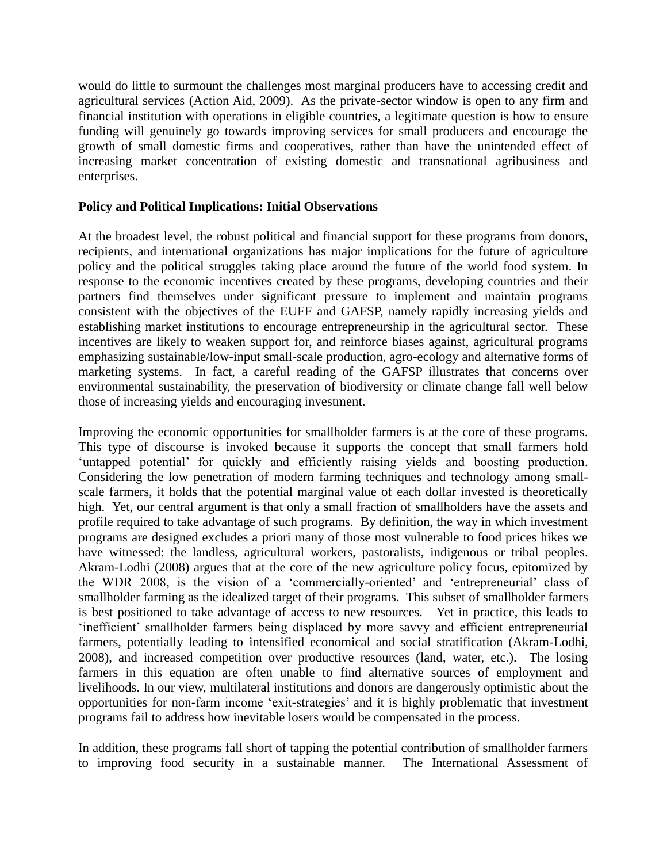would do little to surmount the challenges most marginal producers have to accessing credit and agricultural services (Action Aid, 2009). As the private-sector window is open to any firm and financial institution with operations in eligible countries, a legitimate question is how to ensure funding will genuinely go towards improving services for small producers and encourage the growth of small domestic firms and cooperatives, rather than have the unintended effect of increasing market concentration of existing domestic and transnational agribusiness and enterprises.

## **Policy and Political Implications: Initial Observations**

At the broadest level, the robust political and financial support for these programs from donors, recipients, and international organizations has major implications for the future of agriculture policy and the political struggles taking place around the future of the world food system. In response to the economic incentives created by these programs, developing countries and their partners find themselves under significant pressure to implement and maintain programs consistent with the objectives of the EUFF and GAFSP, namely rapidly increasing yields and establishing market institutions to encourage entrepreneurship in the agricultural sector. These incentives are likely to weaken support for, and reinforce biases against, agricultural programs emphasizing sustainable/low-input small-scale production, agro-ecology and alternative forms of marketing systems. In fact, a careful reading of the GAFSP illustrates that concerns over environmental sustainability, the preservation of biodiversity or climate change fall well below those of increasing yields and encouraging investment.

Improving the economic opportunities for smallholder farmers is at the core of these programs. This type of discourse is invoked because it supports the concept that small farmers hold 'untapped potential' for quickly and efficiently raising yields and boosting production. Considering the low penetration of modern farming techniques and technology among smallscale farmers, it holds that the potential marginal value of each dollar invested is theoretically high. Yet, our central argument is that only a small fraction of smallholders have the assets and profile required to take advantage of such programs. By definition, the way in which investment programs are designed excludes a priori many of those most vulnerable to food prices hikes we have witnessed: the landless, agricultural workers, pastoralists, indigenous or tribal peoples. Akram-Lodhi (2008) argues that at the core of the new agriculture policy focus, epitomized by the WDR 2008, is the vision of a 'commercially-oriented' and 'entrepreneurial' class of smallholder farming as the idealized target of their programs. This subset of smallholder farmers is best positioned to take advantage of access to new resources. Yet in practice, this leads to 'inefficient' smallholder farmers being displaced by more savvy and efficient entrepreneurial farmers, potentially leading to intensified economical and social stratification (Akram-Lodhi, 2008), and increased competition over productive resources (land, water, etc.). The losing farmers in this equation are often unable to find alternative sources of employment and livelihoods. In our view, multilateral institutions and donors are dangerously optimistic about the opportunities for non-farm income 'exit-strategies' and it is highly problematic that investment programs fail to address how inevitable losers would be compensated in the process.

In addition, these programs fall short of tapping the potential contribution of smallholder farmers to improving food security in a sustainable manner. The International Assessment of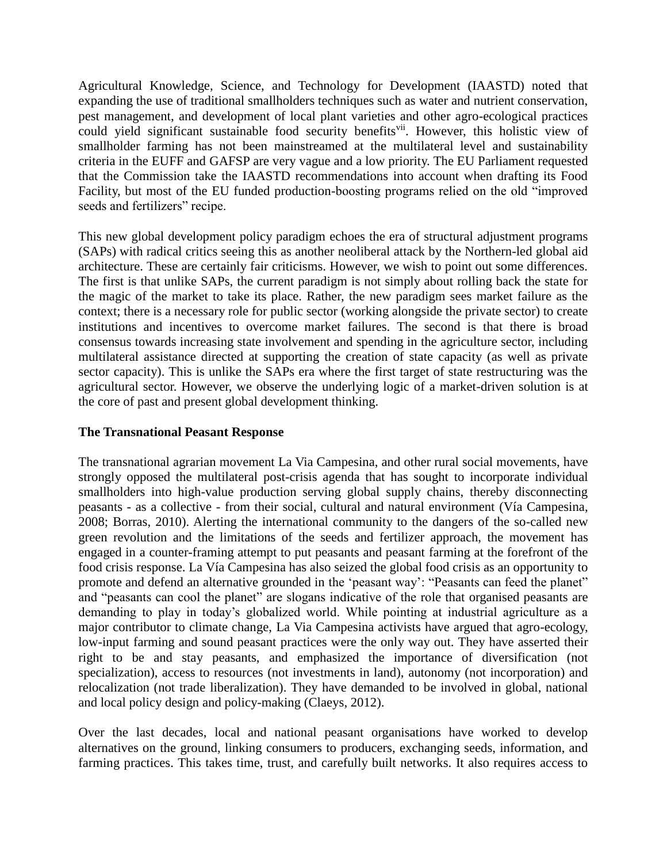Agricultural Knowledge, Science, and Technology for Development (IAASTD) noted that expanding the use of traditional smallholders techniques such as water and nutrient conservation, pest management, and development of local plant varieties and other agro-ecological practices could yield significant sustainable food security benefits<sup>vii</sup>. However, this holistic view of smallholder farming has not been mainstreamed at the multilateral level and sustainability criteria in the EUFF and GAFSP are very vague and a low priority. The EU Parliament requested that the Commission take the IAASTD recommendations into account when drafting its Food Facility, but most of the EU funded production-boosting programs relied on the old "improved seeds and fertilizers" recipe.

This new global development policy paradigm echoes the era of structural adjustment programs (SAPs) with radical critics seeing this as another neoliberal attack by the Northern-led global aid architecture. These are certainly fair criticisms. However, we wish to point out some differences. The first is that unlike SAPs, the current paradigm is not simply about rolling back the state for the magic of the market to take its place. Rather, the new paradigm sees market failure as the context; there is a necessary role for public sector (working alongside the private sector) to create institutions and incentives to overcome market failures. The second is that there is broad consensus towards increasing state involvement and spending in the agriculture sector, including multilateral assistance directed at supporting the creation of state capacity (as well as private sector capacity). This is unlike the SAPs era where the first target of state restructuring was the agricultural sector. However, we observe the underlying logic of a market-driven solution is at the core of past and present global development thinking.

# **The Transnational Peasant Response**

The transnational agrarian movement La Via Campesina, and other rural social movements, have strongly opposed the multilateral post-crisis agenda that has sought to incorporate individual smallholders into high-value production serving global supply chains, thereby disconnecting peasants - as a collective - from their social, cultural and natural environment (Vía Campesina, 2008; Borras, 2010). Alerting the international community to the dangers of the so-called new green revolution and the limitations of the seeds and fertilizer approach, the movement has engaged in a counter-framing attempt to put peasants and peasant farming at the forefront of the food crisis response. La Vía Campesina has also seized the global food crisis as an opportunity to promote and defend an alternative grounded in the 'peasant way': "Peasants can feed the planet" and "peasants can cool the planet" are slogans indicative of the role that organised peasants are demanding to play in today's globalized world. While pointing at industrial agriculture as a major contributor to climate change, La Via Campesina activists have argued that agro-ecology, low-input farming and sound peasant practices were the only way out. They have asserted their right to be and stay peasants, and emphasized the importance of diversification (not specialization), access to resources (not investments in land), autonomy (not incorporation) and relocalization (not trade liberalization). They have demanded to be involved in global, national and local policy design and policy-making (Claeys, 2012).

Over the last decades, local and national peasant organisations have worked to develop alternatives on the ground, linking consumers to producers, exchanging seeds, information, and farming practices. This takes time, trust, and carefully built networks. It also requires access to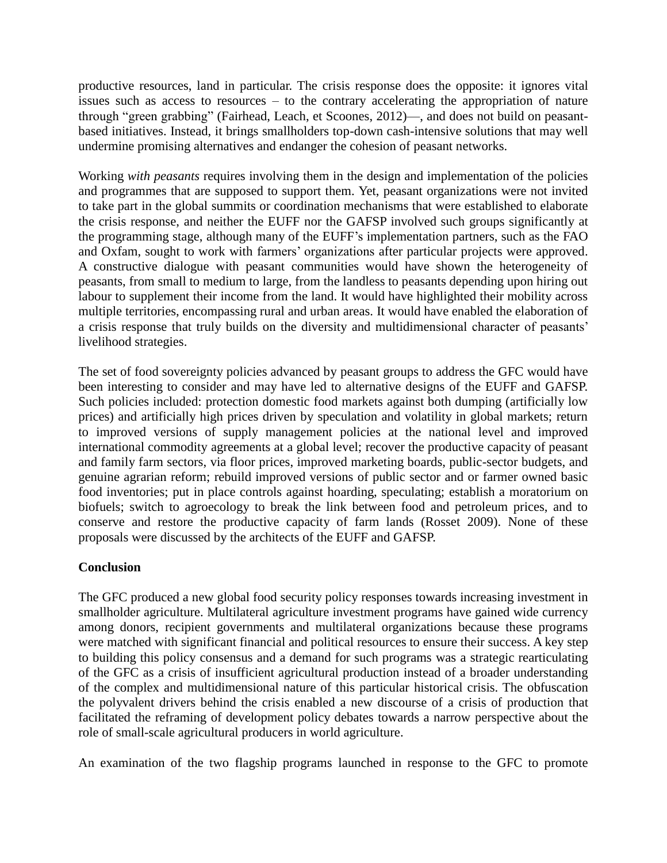productive resources, land in particular. The crisis response does the opposite: it ignores vital issues such as access to resources – to the contrary accelerating the appropriation of nature through "green grabbing" (Fairhead, Leach, et Scoones, 2012)—, and does not build on peasantbased initiatives. Instead, it brings smallholders top-down cash-intensive solutions that may well undermine promising alternatives and endanger the cohesion of peasant networks.

Working *with peasants* requires involving them in the design and implementation of the policies and programmes that are supposed to support them. Yet, peasant organizations were not invited to take part in the global summits or coordination mechanisms that were established to elaborate the crisis response, and neither the EUFF nor the GAFSP involved such groups significantly at the programming stage, although many of the EUFF's implementation partners, such as the FAO and Oxfam, sought to work with farmers' organizations after particular projects were approved. A constructive dialogue with peasant communities would have shown the heterogeneity of peasants, from small to medium to large, from the landless to peasants depending upon hiring out labour to supplement their income from the land. It would have highlighted their mobility across multiple territories, encompassing rural and urban areas. It would have enabled the elaboration of a crisis response that truly builds on the diversity and multidimensional character of peasants' livelihood strategies.

The set of food sovereignty policies advanced by peasant groups to address the GFC would have been interesting to consider and may have led to alternative designs of the EUFF and GAFSP. Such policies included: protection domestic food markets against both dumping (artificially low prices) and artificially high prices driven by speculation and volatility in global markets; return to improved versions of supply management policies at the national level and improved international commodity agreements at a global level; recover the productive capacity of peasant and family farm sectors, via floor prices, improved marketing boards, public-sector budgets, and genuine agrarian reform; rebuild improved versions of public sector and or farmer owned basic food inventories; put in place controls against hoarding, speculating; establish a moratorium on biofuels; switch to agroecology to break the link between food and petroleum prices, and to conserve and restore the productive capacity of farm lands (Rosset 2009). None of these proposals were discussed by the architects of the EUFF and GAFSP.

# **Conclusion**

The GFC produced a new global food security policy responses towards increasing investment in smallholder agriculture. Multilateral agriculture investment programs have gained wide currency among donors, recipient governments and multilateral organizations because these programs were matched with significant financial and political resources to ensure their success. A key step to building this policy consensus and a demand for such programs was a strategic rearticulating of the GFC as a crisis of insufficient agricultural production instead of a broader understanding of the complex and multidimensional nature of this particular historical crisis. The obfuscation the polyvalent drivers behind the crisis enabled a new discourse of a crisis of production that facilitated the reframing of development policy debates towards a narrow perspective about the role of small-scale agricultural producers in world agriculture.

An examination of the two flagship programs launched in response to the GFC to promote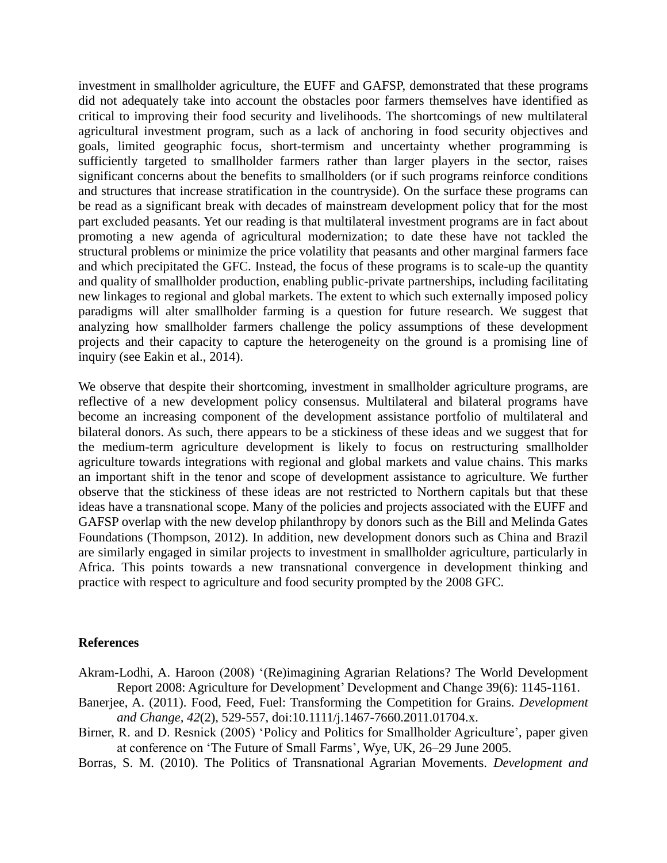investment in smallholder agriculture, the EUFF and GAFSP, demonstrated that these programs did not adequately take into account the obstacles poor farmers themselves have identified as critical to improving their food security and livelihoods. The shortcomings of new multilateral agricultural investment program, such as a lack of anchoring in food security objectives and goals, limited geographic focus, short-termism and uncertainty whether programming is sufficiently targeted to smallholder farmers rather than larger players in the sector, raises significant concerns about the benefits to smallholders (or if such programs reinforce conditions and structures that increase stratification in the countryside). On the surface these programs can be read as a significant break with decades of mainstream development policy that for the most part excluded peasants. Yet our reading is that multilateral investment programs are in fact about promoting a new agenda of agricultural modernization; to date these have not tackled the structural problems or minimize the price volatility that peasants and other marginal farmers face and which precipitated the GFC. Instead, the focus of these programs is to scale-up the quantity and quality of smallholder production, enabling public-private partnerships, including facilitating new linkages to regional and global markets. The extent to which such externally imposed policy paradigms will alter smallholder farming is a question for future research. We suggest that analyzing how smallholder farmers challenge the policy assumptions of these development projects and their capacity to capture the heterogeneity on the ground is a promising line of inquiry (see Eakin et al., 2014).

We observe that despite their shortcoming, investment in smallholder agriculture programs, are reflective of a new development policy consensus. Multilateral and bilateral programs have become an increasing component of the development assistance portfolio of multilateral and bilateral donors. As such, there appears to be a stickiness of these ideas and we suggest that for the medium-term agriculture development is likely to focus on restructuring smallholder agriculture towards integrations with regional and global markets and value chains. This marks an important shift in the tenor and scope of development assistance to agriculture. We further observe that the stickiness of these ideas are not restricted to Northern capitals but that these ideas have a transnational scope. Many of the policies and projects associated with the EUFF and GAFSP overlap with the new develop philanthropy by donors such as the Bill and Melinda Gates Foundations (Thompson, 2012). In addition, new development donors such as China and Brazil are similarly engaged in similar projects to investment in smallholder agriculture, particularly in Africa. This points towards a new transnational convergence in development thinking and practice with respect to agriculture and food security prompted by the 2008 GFC.

#### **References**

- Akram-Lodhi, A. Haroon (2008) '(Re)imagining Agrarian Relations? The World Development Report 2008: Agriculture for Development' Development and Change 39(6): 1145-1161.
- Banerjee, A. (2011). Food, Feed, Fuel: Transforming the Competition for Grains. *Development and Change, 42*(2), 529-557, doi:10.1111/j.1467-7660.2011.01704.x.
- Birner, R. and D. Resnick (2005) 'Policy and Politics for Smallholder Agriculture', paper given at conference on 'The Future of Small Farms', Wye, UK, 26–29 June 2005.

Borras, S. M. (2010). The Politics of Transnational Agrarian Movements. *Development and*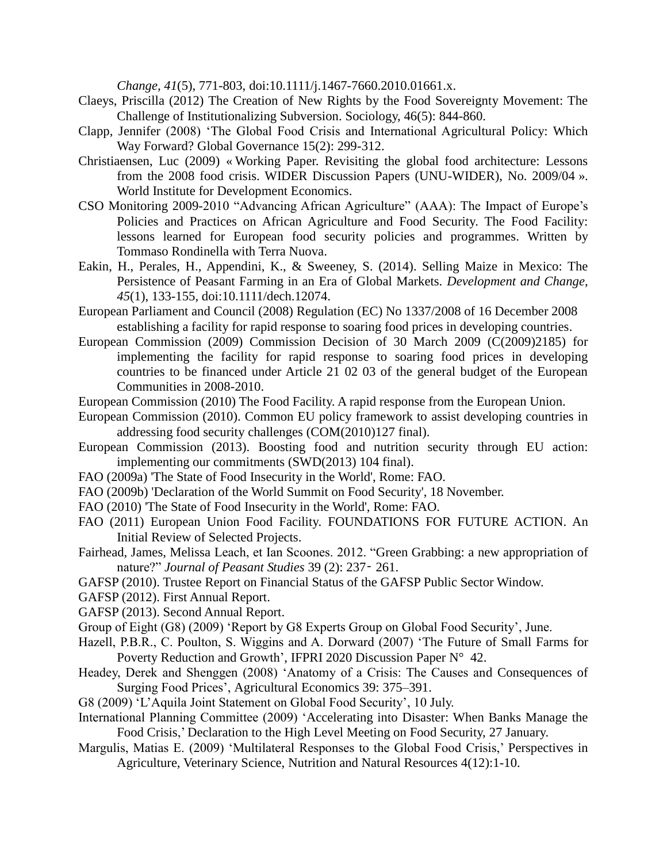*Change, 41*(5), 771-803, doi:10.1111/j.1467-7660.2010.01661.x.

- Claeys, Priscilla (2012) The Creation of New Rights by the Food Sovereignty Movement: The Challenge of Institutionalizing Subversion. Sociology, 46(5): 844-860.
- Clapp, Jennifer (2008) 'The Global Food Crisis and International Agricultural Policy: Which Way Forward? Global Governance 15(2): 299-312.
- Christiaensen, Luc (2009) « Working Paper. Revisiting the global food architecture: Lessons from the 2008 food crisis. WIDER Discussion Papers (UNU-WIDER), No. 2009/04 ». World Institute for Development Economics.
- CSO Monitoring 2009-2010 "Advancing African Agriculture" (AAA): The Impact of Europe's Policies and Practices on African Agriculture and Food Security. The Food Facility: lessons learned for European food security policies and programmes. Written by Tommaso Rondinella with Terra Nuova.
- Eakin, H., Perales, H., Appendini, K., & Sweeney, S. (2014). Selling Maize in Mexico: The Persistence of Peasant Farming in an Era of Global Markets. *Development and Change, 45*(1), 133-155, doi:10.1111/dech.12074.
- European Parliament and Council (2008) Regulation (EC) No 1337/2008 of 16 December 2008 establishing a facility for rapid response to soaring food prices in developing countries.
- European Commission (2009) Commission Decision of 30 March 2009 (C(2009)2185) for implementing the facility for rapid response to soaring food prices in developing countries to be financed under Article 21 02 03 of the general budget of the European Communities in 2008-2010.
- European Commission (2010) The Food Facility. A rapid response from the European Union.
- European Commission (2010). Common EU policy framework to assist developing countries in addressing food security challenges (COM(2010)127 final).
- European Commission (2013). Boosting food and nutrition security through EU action: implementing our commitments (SWD(2013) 104 final).
- FAO (2009a) 'The State of Food Insecurity in the World', Rome: FAO.
- FAO (2009b) 'Declaration of the World Summit on Food Security', 18 November.
- FAO (2010) 'The State of Food Insecurity in the World', Rome: FAO.
- FAO (2011) European Union Food Facility. FOUNDATIONS FOR FUTURE ACTION. An Initial Review of Selected Projects.
- Fairhead, James, Melissa Leach, et Ian Scoones. 2012. "Green Grabbing: a new appropriation of nature?" *Journal of Peasant Studies* 39 (2): 237‑ 261.
- GAFSP (2010). Trustee Report on Financial Status of the GAFSP Public Sector Window.
- GAFSP (2012). First Annual Report.
- GAFSP (2013). Second Annual Report.
- Group of Eight (G8) (2009) 'Report by G8 Experts Group on Global Food Security', June.
- Hazell, P.B.R., C. Poulton, S. Wiggins and A. Dorward (2007) 'The Future of Small Farms for Poverty Reduction and Growth', IFPRI 2020 Discussion Paper N° 42.
- Headey, Derek and Shenggen (2008) 'Anatomy of a Crisis: The Causes and Consequences of Surging Food Prices', Agricultural Economics 39: 375–391.
- G8 (2009) 'L'Aquila Joint Statement on Global Food Security', 10 July.
- International Planning Committee (2009) 'Accelerating into Disaster: When Banks Manage the Food Crisis,' Declaration to the High Level Meeting on Food Security, 27 January.
- Margulis, Matias E. (2009) 'Multilateral Responses to the Global Food Crisis,' Perspectives in Agriculture, Veterinary Science, Nutrition and Natural Resources 4(12):1-10.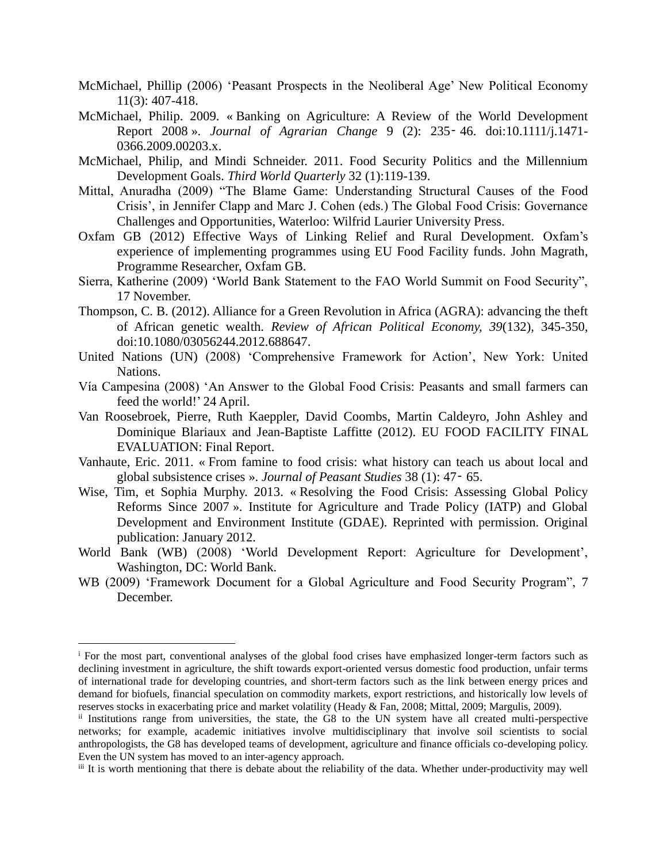- McMichael, Phillip (2006) 'Peasant Prospects in the Neoliberal Age' New Political Economy 11(3): 407-418.
- McMichael, Philip. 2009. « Banking on Agriculture: A Review of the World Development Report 2008 ». *Journal of Agrarian Change* 9 (2): 235‑ 46. doi:10.1111/j.1471- 0366.2009.00203.x.
- McMichael, Philip, and Mindi Schneider. 2011. Food Security Politics and the Millennium Development Goals. *Third World Quarterly* 32 (1):119-139.
- Mittal, Anuradha (2009) "The Blame Game: Understanding Structural Causes of the Food Crisis', in Jennifer Clapp and Marc J. Cohen (eds.) The Global Food Crisis: Governance Challenges and Opportunities, Waterloo: Wilfrid Laurier University Press.
- Oxfam GB (2012) Effective Ways of Linking Relief and Rural Development. Oxfam's experience of implementing programmes using EU Food Facility funds. John Magrath, Programme Researcher, Oxfam GB.
- Sierra, Katherine (2009) 'World Bank Statement to the FAO World Summit on Food Security", 17 November.
- Thompson, C. B. (2012). Alliance for a Green Revolution in Africa (AGRA): advancing the theft of African genetic wealth. *Review of African Political Economy, 39*(132), 345-350, doi:10.1080/03056244.2012.688647.
- United Nations (UN) (2008) 'Comprehensive Framework for Action', New York: United Nations.
- Vía Campesina (2008) 'An Answer to the Global Food Crisis: Peasants and small farmers can feed the world!' 24 April.
- Van Roosebroek, Pierre, Ruth Kaeppler, David Coombs, Martin Caldeyro, John Ashley and Dominique Blariaux and Jean-Baptiste Laffitte (2012). EU FOOD FACILITY FINAL EVALUATION: Final Report.
- Vanhaute, Eric. 2011. « From famine to food crisis: what history can teach us about local and global subsistence crises ». *Journal of Peasant Studies* 38 (1): 47‑ 65.
- Wise, Tim, et Sophia Murphy. 2013. « Resolving the Food Crisis: Assessing Global Policy Reforms Since 2007 ». Institute for Agriculture and Trade Policy (IATP) and Global Development and Environment Institute (GDAE). Reprinted with permission. Original publication: January 2012.
- World Bank (WB) (2008) 'World Development Report: Agriculture for Development', Washington, DC: World Bank.
- WB (2009) 'Framework Document for a Global Agriculture and Food Security Program", 7 December.

 $\overline{a}$ 

<sup>&</sup>lt;sup>i</sup> For the most part, conventional analyses of the global food crises have emphasized longer-term factors such as declining investment in agriculture, the shift towards export-oriented versus domestic food production, unfair terms of international trade for developing countries, and short-term factors such as the link between energy prices and demand for biofuels, financial speculation on commodity markets, export restrictions, and historically low levels of reserves stocks in exacerbating price and market volatility (Heady & Fan, 2008; Mittal, 2009; Margulis, 2009).

ii Institutions range from universities, the state, the G8 to the UN system have all created multi-perspective networks; for example, academic initiatives involve multidisciplinary that involve soil scientists to social anthropologists, the G8 has developed teams of development, agriculture and finance officials co-developing policy. Even the UN system has moved to an inter-agency approach.

iii It is worth mentioning that there is debate about the reliability of the data. Whether under-productivity may well